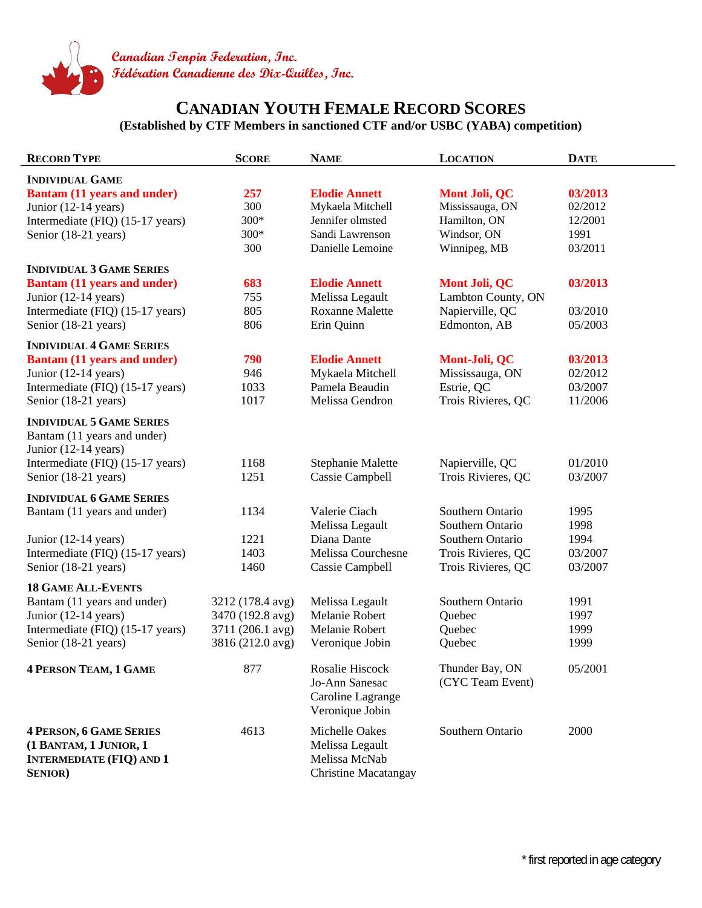

**Canadian Tenpin Federation, Inc. Fédération Canadienne des Dix-Quilles, Inc.** 

## **CANADIAN YOUTH FEMALE RECORD SCORES**

**(Established by CTF Members in sanctioned CTF and/or USBC (YABA) competition)** 

| <b>RECORD TYPE</b>                                                                                                                   | <b>SCORE</b>                         | <b>NAME</b>                                                                       | <b>LOCATION</b>                     | <b>DATE</b> |
|--------------------------------------------------------------------------------------------------------------------------------------|--------------------------------------|-----------------------------------------------------------------------------------|-------------------------------------|-------------|
| <b>INDIVIDUAL GAME</b>                                                                                                               |                                      |                                                                                   |                                     |             |
| <b>Bantam (11 years and under)</b>                                                                                                   | 257                                  | <b>Elodie Annett</b>                                                              | Mont Joli, QC                       | 03/2013     |
| Junior (12-14 years)                                                                                                                 | 300                                  | Mykaela Mitchell                                                                  | Mississauga, ON                     | 02/2012     |
| Intermediate (FIQ) (15-17 years)                                                                                                     | 300*                                 | Jennifer olmsted                                                                  | Hamilton, ON                        | 12/2001     |
| Senior (18-21 years)                                                                                                                 | 300*                                 | Sandi Lawrenson                                                                   | Windsor, ON                         | 1991        |
|                                                                                                                                      | 300                                  | Danielle Lemoine                                                                  | Winnipeg, MB                        | 03/2011     |
| <b>INDIVIDUAL 3 GAME SERIES</b>                                                                                                      |                                      |                                                                                   |                                     |             |
| <b>Bantam (11 years and under)</b>                                                                                                   | 683                                  | <b>Elodie Annett</b>                                                              | Mont Joli, QC                       | 03/2013     |
| Junior (12-14 years)                                                                                                                 | 755                                  | Melissa Legault                                                                   | Lambton County, ON                  |             |
| Intermediate (FIQ) (15-17 years)                                                                                                     | 805                                  | <b>Roxanne Malette</b>                                                            | Napierville, QC                     | 03/2010     |
| Senior (18-21 years)                                                                                                                 | 806                                  | Erin Quinn                                                                        | Edmonton, AB                        | 05/2003     |
| <b>INDIVIDUAL 4 GAME SERIES</b>                                                                                                      |                                      |                                                                                   |                                     |             |
| <b>Bantam (11 years and under)</b>                                                                                                   | 790                                  | <b>Elodie Annett</b>                                                              | Mont-Joli, QC                       | 03/2013     |
| Junior (12-14 years)                                                                                                                 | 946                                  | Mykaela Mitchell                                                                  | Mississauga, ON                     | 02/2012     |
| Intermediate (FIQ) (15-17 years)                                                                                                     | 1033                                 | Pamela Beaudin                                                                    | Estrie, QC                          | 03/2007     |
| Senior (18-21 years)                                                                                                                 | 1017                                 | Melissa Gendron                                                                   | Trois Rivieres, QC                  | 11/2006     |
| <b>INDIVIDUAL 5 GAME SERIES</b><br>Bantam (11 years and under)<br>Junior $(12-14 \text{ years})$<br>Intermediate (FIQ) (15-17 years) | 1168                                 | <b>Stephanie Malette</b>                                                          | Napierville, QC                     | 01/2010     |
| Senior (18-21 years)                                                                                                                 | 1251                                 | Cassie Campbell                                                                   | Trois Rivieres, QC                  | 03/2007     |
| <b>INDIVIDUAL 6 GAME SERIES</b>                                                                                                      |                                      |                                                                                   |                                     |             |
| Bantam (11 years and under)                                                                                                          | 1134                                 | Valerie Ciach                                                                     | Southern Ontario                    | 1995        |
|                                                                                                                                      |                                      | Melissa Legault                                                                   | Southern Ontario                    | 1998        |
| Junior $(12-14 \text{ years})$                                                                                                       | 1221                                 | Diana Dante                                                                       | Southern Ontario                    | 1994        |
| Intermediate (FIQ) (15-17 years)                                                                                                     | 1403                                 | Melissa Courchesne                                                                | Trois Rivieres, QC                  | 03/2007     |
| Senior (18-21 years)                                                                                                                 | 1460                                 | Cassie Campbell                                                                   | Trois Rivieres, QC                  | 03/2007     |
| <b>18 GAME ALL-EVENTS</b>                                                                                                            |                                      |                                                                                   |                                     |             |
| Bantam (11 years and under)                                                                                                          | 3212 (178.4 avg)                     | Melissa Legault                                                                   | Southern Ontario                    | 1991        |
| Junior (12-14 years)                                                                                                                 | 3470 (192.8 avg)                     | Melanie Robert                                                                    | Quebec                              | 1997        |
|                                                                                                                                      |                                      | Melanie Robert                                                                    | Quebec                              | 1999        |
| Intermediate (FIQ) (15-17 years)                                                                                                     | 3711 (206.1 avg)<br>3816 (212.0 avg) | Veronique Jobin                                                                   | Quebec                              | 1999        |
| Senior (18-21 years)                                                                                                                 |                                      |                                                                                   |                                     |             |
| <b>4 PERSON TEAM, 1 GAME</b>                                                                                                         | 877                                  | Rosalie Hiscock<br>Jo-Ann Sanesac<br>Caroline Lagrange<br>Veronique Jobin         | Thunder Bay, ON<br>(CYC Team Event) | 05/2001     |
| <b>4 PERSON, 6 GAME SERIES</b><br>(1 BANTAM, 1 JUNIOR, 1<br><b>INTERMEDIATE (FIQ) AND 1</b><br><b>SENIOR</b> )                       | 4613                                 | Michelle Oakes<br>Melissa Legault<br>Melissa McNab<br><b>Christine Macatangay</b> | Southern Ontario                    | 2000        |